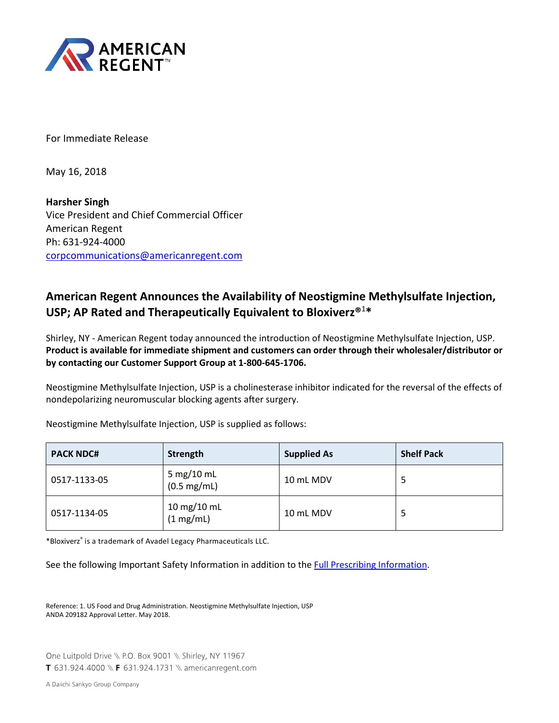

For Immediate Release

May 16, 2018

**Harsher Singh** Vice President and Chief Commercial Officer American Regent Ph: 631-924-4000 [corpcommunications@americanregent.com](mailto:corpcommunications@americanregent.com)

# **American Regent Announces the Availability of Neostigmine Methylsulfate Injection, USP; AP Rated and Therapeutically Equivalent to Bloxiverz®**<sup>1</sup> **\***

Shirley, NY - American Regent today announced the introduction of Neostigmine Methylsulfate Injection, USP. **Product is available for immediate shipment and customers can order through their wholesaler/distributor or by contacting our Customer Support Group at 1-800-645-1706.**

Neostigmine Methylsulfate Injection, USP is a cholinesterase inhibitor indicated for the reversal of the effects of nondepolarizing neuromuscular blocking agents after surgery.

| <b>PACK NDC#</b> | Strength                            | <b>Supplied As</b> | <b>Shelf Pack</b> |
|------------------|-------------------------------------|--------------------|-------------------|
| 0517-1133-05     | 5 mg/10 mL<br>$(0.5 \text{ mg/mL})$ | 10 mL MDV          |                   |
| 0517-1134-05     | 10 mg/10 mL<br>(1 mg/mL)            | 10 mL MDV          | 5                 |

Neostigmine Methylsulfate Injection, USP is supplied as follows:

\*Bloxiverz® is a trademark of Avadel Legacy Pharmaceuticals LLC.

See the following Important Safety Information in addition to the [Full Prescribing Information.](http://www.americanregent.com/Products/ProductAssets/Neostigmine-Prescribing-Information.pdf)

Reference: 1. US Food and Drug Administration. Neostigmine Methylsulfate Injection, USP ANDA 209182 Approval Letter. May 2018.

One Luitpold Drive \\ P.O. Box 9001 \\ Shirley, NY 11967 T 631.924.4000 \\ F 631.924.1731 \\ americanregent.com

A Daiichi Sankyo Group Company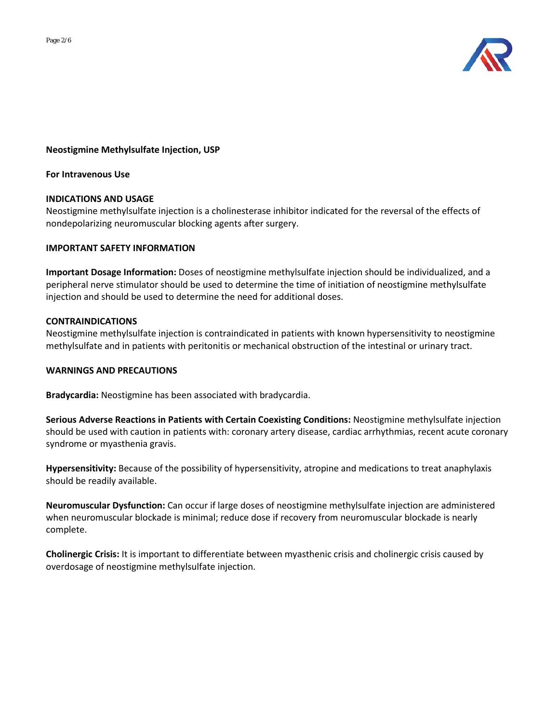

# **Neostigmine Methylsulfate Injection, USP**

### **For Intravenous Use**

## **INDICATIONS AND USAGE**

Neostigmine methylsulfate injection is a cholinesterase inhibitor indicated for the reversal of the effects of nondepolarizing neuromuscular blocking agents after surgery.

## **IMPORTANT SAFETY INFORMATION**

**Important Dosage Information:** Doses of neostigmine methylsulfate injection should be individualized, and a peripheral nerve stimulator should be used to determine the time of initiation of neostigmine methylsulfate injection and should be used to determine the need for additional doses.

# **CONTRAINDICATIONS**

Neostigmine methylsulfate injection is contraindicated in patients with known hypersensitivity to neostigmine methylsulfate and in patients with peritonitis or mechanical obstruction of the intestinal or urinary tract.

#### **WARNINGS AND PRECAUTIONS**

**Bradycardia:** Neostigmine has been associated with bradycardia.

**Serious Adverse Reactions in Patients with Certain Coexisting Conditions:** Neostigmine methylsulfate injection should be used with caution in patients with: coronary artery disease, cardiac arrhythmias, recent acute coronary syndrome or myasthenia gravis.

**Hypersensitivity:** Because of the possibility of hypersensitivity, atropine and medications to treat anaphylaxis should be readily available.

**Neuromuscular Dysfunction:** Can occur if large doses of neostigmine methylsulfate injection are administered when neuromuscular blockade is minimal; reduce dose if recovery from neuromuscular blockade is nearly complete.

**Cholinergic Crisis:** It is important to differentiate between myasthenic crisis and cholinergic crisis caused by overdosage of neostigmine methylsulfate injection.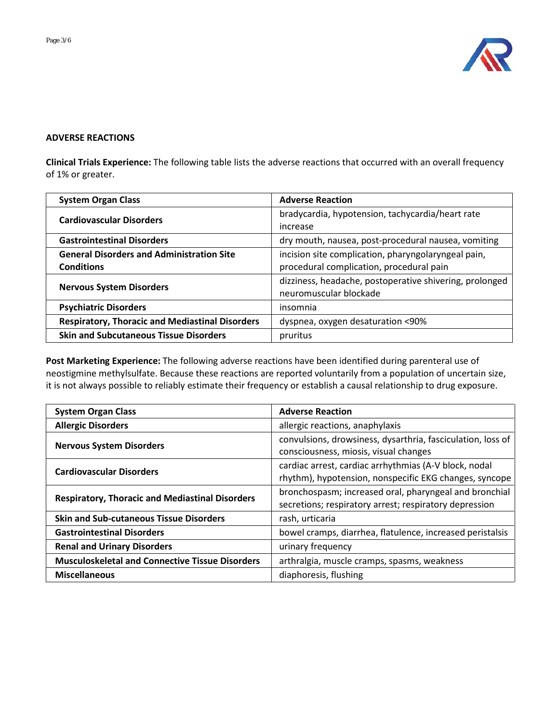

# **ADVERSE REACTIONS**

**Clinical Trials Experience:** The following table lists the adverse reactions that occurred with an overall frequency of 1% or greater.

| <b>System Organ Class</b>                                             | <b>Adverse Reaction</b>                                                                         |  |
|-----------------------------------------------------------------------|-------------------------------------------------------------------------------------------------|--|
| <b>Cardiovascular Disorders</b>                                       | bradycardia, hypotension, tachycardia/heart rate<br>increase                                    |  |
| <b>Gastrointestinal Disorders</b>                                     | dry mouth, nausea, post-procedural nausea, vomiting                                             |  |
| <b>General Disorders and Administration Site</b><br><b>Conditions</b> | incision site complication, pharyngolaryngeal pain,<br>procedural complication, procedural pain |  |
| <b>Nervous System Disorders</b>                                       | dizziness, headache, postoperative shivering, prolonged<br>neuromuscular blockade               |  |
| <b>Psychiatric Disorders</b>                                          | insomnia                                                                                        |  |
| <b>Respiratory, Thoracic and Mediastinal Disorders</b>                | dyspnea, oxygen desaturation <90%                                                               |  |
| <b>Skin and Subcutaneous Tissue Disorders</b>                         | pruritus                                                                                        |  |

**Post Marketing Experience:** The following adverse reactions have been identified during parenteral use of neostigmine methylsulfate. Because these reactions are reported voluntarily from a population of uncertain size, it is not always possible to reliably estimate their frequency or establish a causal relationship to drug exposure.

| <b>System Organ Class</b>                              | <b>Adverse Reaction</b>                                                                                          |  |
|--------------------------------------------------------|------------------------------------------------------------------------------------------------------------------|--|
| <b>Allergic Disorders</b>                              | allergic reactions, anaphylaxis                                                                                  |  |
| <b>Nervous System Disorders</b>                        | convulsions, drowsiness, dysarthria, fasciculation, loss of<br>consciousness, miosis, visual changes             |  |
| <b>Cardiovascular Disorders</b>                        | cardiac arrest, cardiac arrhythmias (A-V block, nodal<br>rhythm), hypotension, nonspecific EKG changes, syncope  |  |
| <b>Respiratory, Thoracic and Mediastinal Disorders</b> | bronchospasm; increased oral, pharyngeal and bronchial<br>secretions; respiratory arrest; respiratory depression |  |
| <b>Skin and Sub-cutaneous Tissue Disorders</b>         | rash, urticaria                                                                                                  |  |
| <b>Gastrointestinal Disorders</b>                      | bowel cramps, diarrhea, flatulence, increased peristalsis                                                        |  |
| <b>Renal and Urinary Disorders</b>                     | urinary frequency                                                                                                |  |
| <b>Musculoskeletal and Connective Tissue Disorders</b> | arthralgia, muscle cramps, spasms, weakness                                                                      |  |
| <b>Miscellaneous</b>                                   | diaphoresis, flushing                                                                                            |  |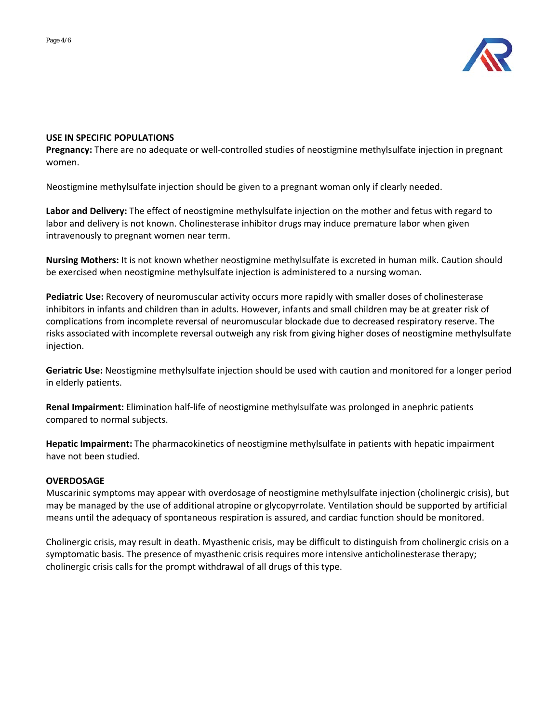

# **USE IN SPECIFIC POPULATIONS**

**Pregnancy:** There are no adequate or well-controlled studies of neostigmine methylsulfate injection in pregnant women.

Neostigmine methylsulfate injection should be given to a pregnant woman only if clearly needed.

**Labor and Delivery:** The effect of neostigmine methylsulfate injection on the mother and fetus with regard to labor and delivery is not known. Cholinesterase inhibitor drugs may induce premature labor when given intravenously to pregnant women near term.

**Nursing Mothers:** It is not known whether neostigmine methylsulfate is excreted in human milk. Caution should be exercised when neostigmine methylsulfate injection is administered to a nursing woman.

**Pediatric Use:** Recovery of neuromuscular activity occurs more rapidly with smaller doses of cholinesterase inhibitors in infants and children than in adults. However, infants and small children may be at greater risk of complications from incomplete reversal of neuromuscular blockade due to decreased respiratory reserve. The risks associated with incomplete reversal outweigh any risk from giving higher doses of neostigmine methylsulfate injection.

**Geriatric Use:** Neostigmine methylsulfate injection should be used with caution and monitored for a longer period in elderly patients.

**Renal Impairment:** Elimination half-life of neostigmine methylsulfate was prolonged in anephric patients compared to normal subjects.

**Hepatic Impairment:** The pharmacokinetics of neostigmine methylsulfate in patients with hepatic impairment have not been studied.

## **OVERDOSAGE**

Muscarinic symptoms may appear with overdosage of neostigmine methylsulfate injection (cholinergic crisis), but may be managed by the use of additional atropine or glycopyrrolate. Ventilation should be supported by artificial means until the adequacy of spontaneous respiration is assured, and cardiac function should be monitored.

Cholinergic crisis, may result in death. Myasthenic crisis, may be difficult to distinguish from cholinergic crisis on a symptomatic basis. The presence of myasthenic crisis requires more intensive anticholinesterase therapy; cholinergic crisis calls for the prompt withdrawal of all drugs of this type.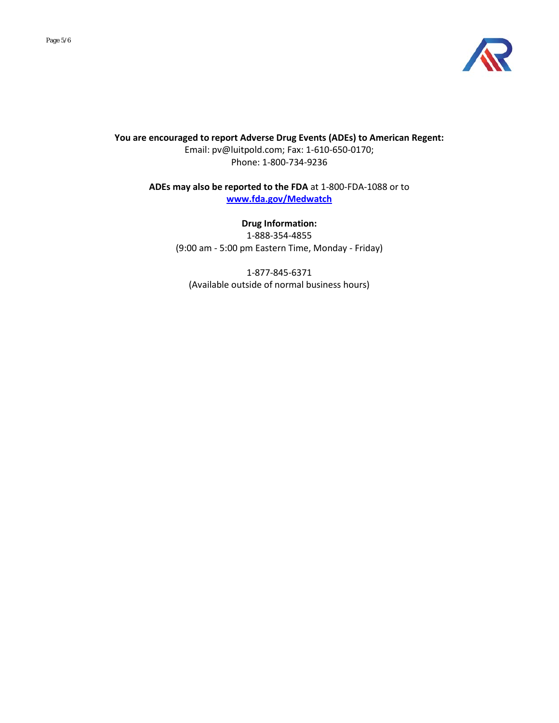

**You are encouraged to report Adverse Drug Events (ADEs) to American Regent:** Email: pv@luitpold.com; Fax: 1-610-650-0170; Phone: 1-800-734-9236

> **ADEs may also be reported to the FDA** at 1-800-FDA-1088 or to **[www.fda.gov/Medwatch](http://www.fda.gov/Medwatch)**

> > **Drug Information:** 1-888-354-4855 (9:00 am - 5:00 pm Eastern Time, Monday - Friday)

1-877-845-6371 (Available outside of normal business hours)